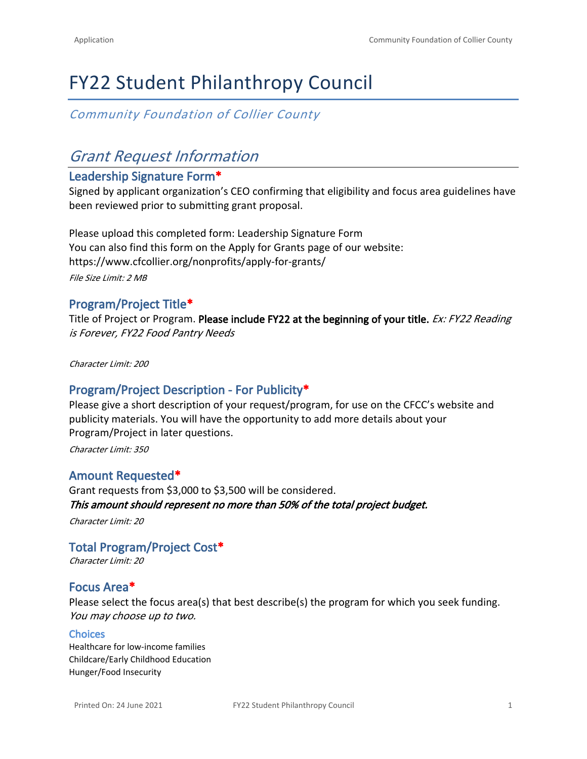# FY22 Student Philanthropy Council

*Community Foundation of Collier County*

# *Grant Request Information*

## **Leadership Signature Form\***

Signed by applicant organization's CEO confirming that eligibility and focus area guidelines have been reviewed prior to submitting grant proposal.

Please upload this completed form: [Leadership Signature Form](https://cfcollier.org/wp-content/uploads/2021/05/Progam-Grants-Leadership-Signature-Form.pdf) You can also find this form on the Apply for Grants page of our website: <https://www.cfcollier.org/nonprofits/apply-for-grants/> *File Size Limit: 2 MB*

# **Program/Project Title\***

Title of Project or Program. **Please include FY22 at the beginning of your title.** *Ex: FY22 Reading is Forever, FY22 Food Pantry Needs*

*Character Limit: 200*

# **Program/Project Description - For Publicity\***

Please give a short description of your request/program, for use on the CFCC's website and publicity materials. You will have the opportunity to add more details about your Program/Project in later questions.

*Character Limit: 350*

# **Amount Requested\***

Grant requests from \$3,000 to \$3,500 will be considered. *This amount should represent no more than 50% of the total project budget.*

*Character Limit: 20*

**Total Program/Project Cost\*** *Character Limit: 20*

# **Focus Area\***

Please select the focus area(s) that best describe(s) the program for which you seek funding. *You may choose up to two.*

#### **Choices**

Healthcare for low-income families Childcare/Early Childhood Education Hunger/Food Insecurity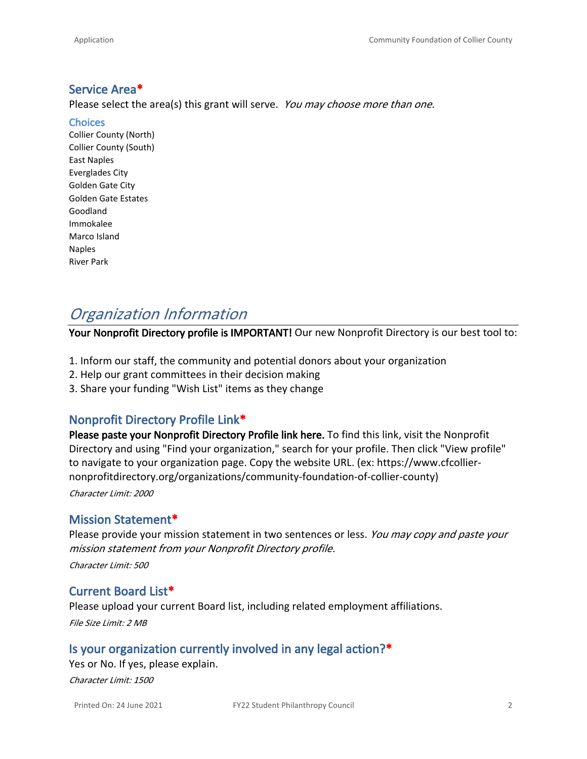## **Service Area\***

Please select the area(s) this grant will serve. *You may choose more than one.* 

**Choices**

Collier County (North) Collier County (South) East Naples Everglades City Golden Gate City Golden Gate Estates Goodland Immokalee Marco Island Naples River Park

# *Organization Information*

**Your Nonprofit Directory profile is IMPORTANT!** Our new Nonprofit Directory is our best tool to:

- 1. Inform our staff, the community and potential donors about your organization
- 2. Help our grant committees in their decision making
- 3. Share your funding "Wish List" items as they change

## **Nonprofit Directory Profile Link\***

**Please paste your Nonprofit Directory Profile link here.** To find this link, visit the [Nonprofit](https://www.cfcollier-nonprofitdirectory.org/)  [Directory](https://www.cfcollier-nonprofitdirectory.org/) and using "Find your organization," search for your profile. Then click "View profile" to navigate to your organization page. Copy the website URL. (ex: https://www.cfcolliernonprofitdirectory.org/organizations/community-foundation-of-collier-county) *Character Limit: 2000*

#### **Mission Statement\***

Please provide your mission statement in two sentences or less. *You may copy and paste your mission statement from your Nonprofit Directory profile.*

*Character Limit: 500*

### **Current Board List\***

Please upload your current Board list, including related employment affiliations. *File Size Limit: 2 MB*

### **Is your organization currently involved in any legal action?\***

Yes or No. If yes, please explain.

*Character Limit: 1500*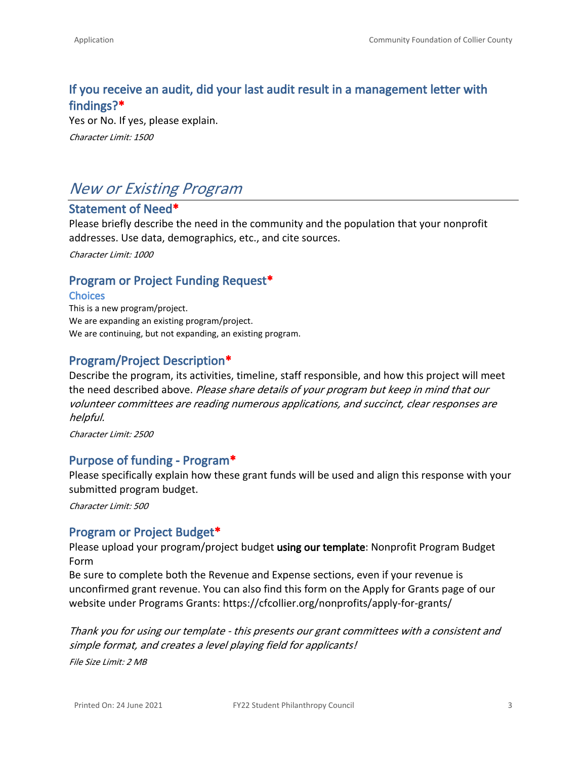# **If you receive an audit, did your last audit result in a management letter with findings?\***

Yes or No. If yes, please explain. *Character Limit: 1500*

# *New or Existing Program*

## **Statement of Need\***

Please briefly describe the need in the community and the population that your nonprofit addresses. Use data, demographics, etc., and cite sources.

*Character Limit: 1000*

### **Program or Project Funding Request\***

#### **Choices**

This is a new program/project. We are expanding an existing program/project. We are continuing, but not expanding, an existing program.

## **Program/Project Description\***

Describe the program, its activities, timeline, staff responsible, and how this project will meet the need described above. *Please share details of your program but keep in mind that our volunteer committees are reading numerous applications, and succinct, clear responses are helpful.* 

*Character Limit: 2500*

### **Purpose of funding - Program\***

Please specifically explain how these grant funds will be used and align this response with your submitted program budget.

*Character Limit: 500*

### **Program or Project Budget\***

Please upload your program/project budget **using our template**: [Nonprofit Program Budget](https://cfcollier.org/wp-content/uploads/2021/05/Nonprofit-Program-Budget-Form-Protected-1.5.21.xlsx)  [Form](https://cfcollier.org/wp-content/uploads/2021/05/Nonprofit-Program-Budget-Form-Protected-1.5.21.xlsx)

Be sure to complete both the Revenue and Expense sections, even if your revenue is unconfirmed grant revenue. You can also find this form on the Apply for Grants page of our website under Programs Grants: <https://cfcollier.org/nonprofits/apply-for-grants/>

*Thank you for using our template - this presents our grant committees with a consistent and simple format, and creates a level playing field for applicants! File Size Limit: 2 MB*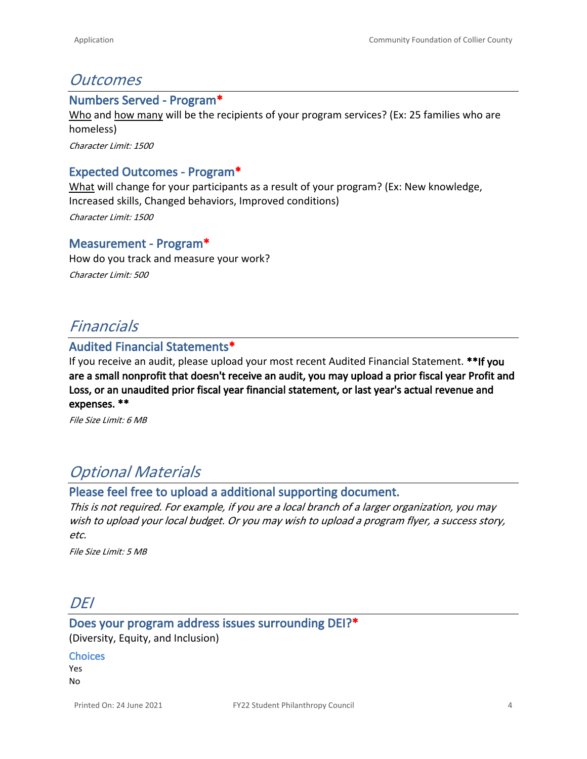# *Outcomes*

#### **Numbers Served - Program\***

Who and how many will be the recipients of your program services? (Ex: 25 families who are homeless)

*Character Limit: 1500*

# **Expected Outcomes - Program\***

What will change for your participants as a result of your program? (Ex: New knowledge, Increased skills, Changed behaviors, Improved conditions)

*Character Limit: 1500*

#### **Measurement - Program\***

How do you track and measure your work? *Character Limit: 500*

# *Financials*

# **Audited Financial Statements\***

If you receive an audit, please upload your most recent Audited Financial Statement. **\*\*If you are a small nonprofit that doesn't receive an audit, you may upload a prior fiscal year Profit and Loss, or an unaudited prior fiscal year financial statement, or last year's actual revenue and expenses. \*\***

*File Size Limit: 6 MB*

# *Optional Materials*

### **Please feel free to upload a additional supporting document.**

*This is not required. For example, if you are a local branch of a larger organization, you may wish to upload your local budget. Or you may wish to upload a program flyer, a success story, etc.*

*File Size Limit: 5 MB*

# *DEI*

## **Does your program address issues surrounding DEI?\*** (Diversity, Equity, and Inclusion)

**Choices**

Yes No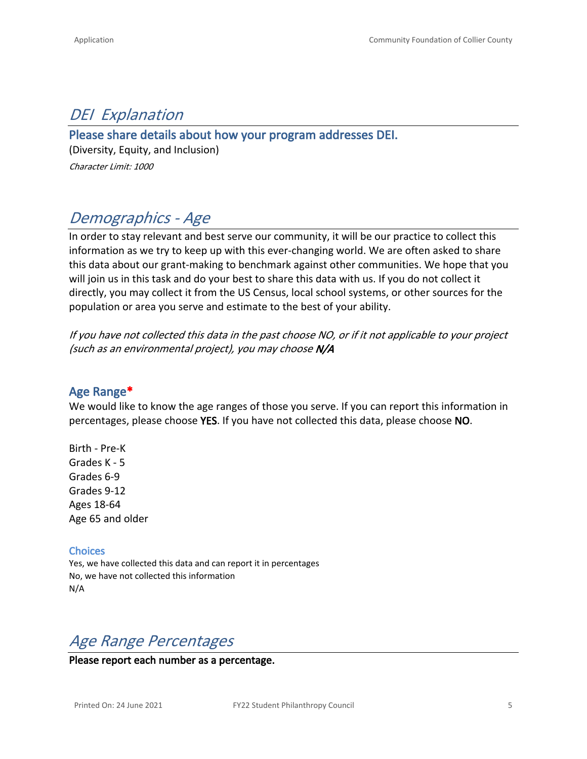# *DEI Explanation*

# **Please share details about how your program addresses DEI.**

(Diversity, Equity, and Inclusion) *Character Limit: 1000*

# *Demographics - Age*

In order to stay relevant and best serve our community, it will be our practice to collect this information as we try to keep up with this ever-changing world. We are often asked to share this data about our grant-making to benchmark against other communities. We hope that you will join us in this task and do your best to share this data with us. If you do not collect it directly, you may collect it from the US Census, local school systems, or other sources for the population or area you serve and estimate to the best of your ability.

*If you have not collected this data in the past choose NO, or if it not applicable to your project (such as an environmental project), you may choose N/A*

# **Age Range\***

We would like to know the age ranges of those you serve. If you can report this information in percentages, please choose **YES**. If you have not collected this data, please choose **NO**.

Birth - Pre-K Grades K - 5 Grades 6-9 Grades 9-12 Ages 18-64 Age 65 and older

**Choices**

Yes, we have collected this data and can report it in percentages No, we have not collected this information N/A

# *Age Range Percentages*

**Please report each number as a percentage.**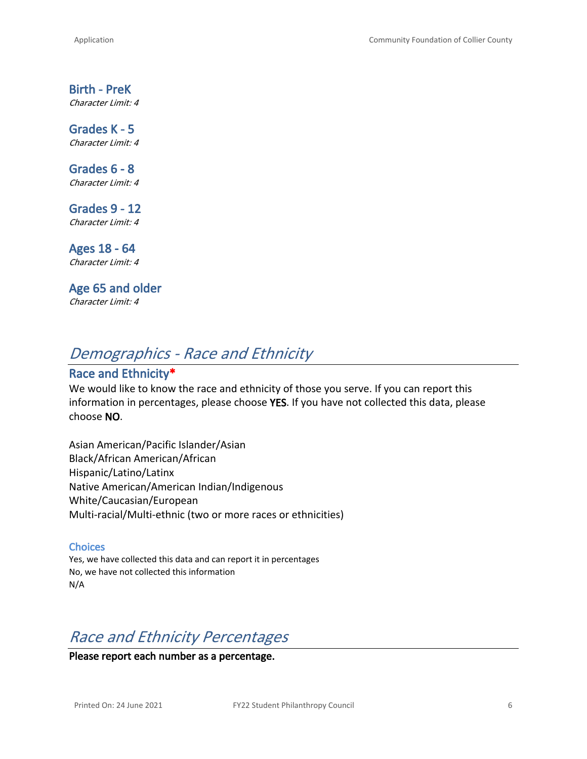# **Birth - PreK**

*Character Limit: 4*

**Grades K - 5** *Character Limit: 4*

**Grades 6 - 8** *Character Limit: 4*

**Grades 9 - 12** *Character Limit: 4*

**Ages 18 - 64** *Character Limit: 4*

**Age 65 and older** *Character Limit: 4*

# *Demographics - Race and Ethnicity*

# **Race and Ethnicity\***

We would like to know the race and ethnicity of those you serve. If you can report this information in percentages, please choose **YES**. If you have not collected this data, please choose **NO**.

Asian American/Pacific Islander/Asian Black/African American/African Hispanic/Latino/Latinx Native American/American Indian/Indigenous White/Caucasian/European Multi-racial/Multi-ethnic (two or more races or ethnicities)

#### **Choices**

Yes, we have collected this data and can report it in percentages No, we have not collected this information N/A

# *Race and Ethnicity Percentages*

**Please report each number as a percentage.**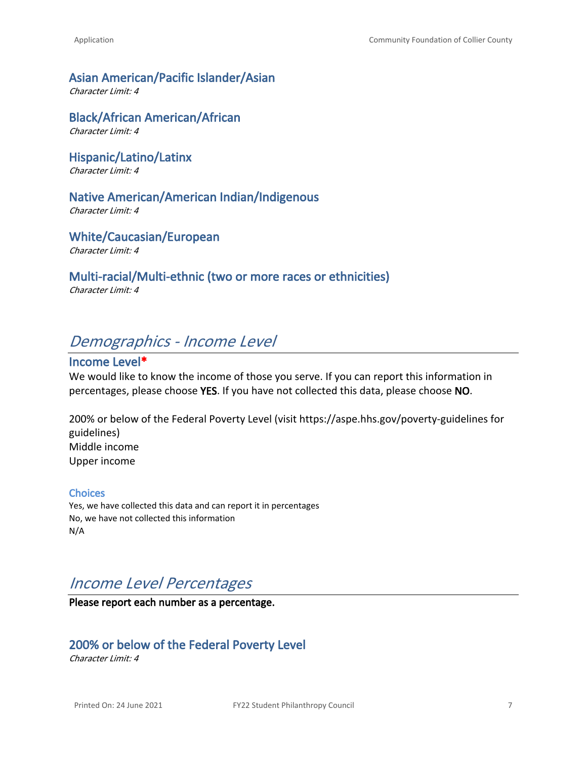### **Asian American/Pacific Islander/Asian**

*Character Limit: 4*

**Black/African American/African** *Character Limit: 4*

**Hispanic/Latino/Latinx** *Character Limit: 4*

### **Native American/American Indian/Indigenous**

*Character Limit: 4*

#### **White/Caucasian/European**

*Character Limit: 4*

#### **Multi-racial/Multi-ethnic (two or more races or ethnicities)**

*Character Limit: 4*

# *Demographics - Income Level*

# **Income Level\***

We would like to know the income of those you serve. If you can report this information in percentages, please choose **YES**. If you have not collected this data, please choose **NO**.

200% or below of the Federal Poverty Level (visit<https://aspe.hhs.gov/poverty-guidelines> for guidelines) Middle income Upper income

#### **Choices**

Yes, we have collected this data and can report it in percentages No, we have not collected this information N/A

# *Income Level Percentages*

**Please report each number as a percentage.**

## **200% or below of the Federal Poverty Level**

*Character Limit: 4*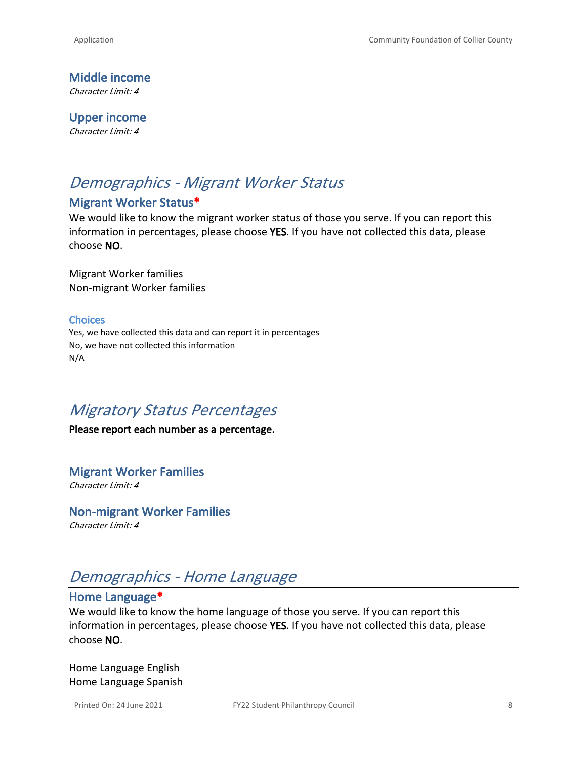**Middle income** *Character Limit: 4*

**Upper income** *Character Limit: 4*

# *Demographics - Migrant Worker Status*

# **Migrant Worker Status\***

We would like to know the migrant worker status of those you serve. If you can report this information in percentages, please choose **YES**. If you have not collected this data, please choose **NO**.

Migrant Worker families Non-migrant Worker families

#### **Choices**

Yes, we have collected this data and can report it in percentages No, we have not collected this information N/A

# *Migratory Status Percentages*

### **Please report each number as a percentage.**

**Migrant Worker Families** *Character Limit: 4*

**Non-migrant Worker Families** *Character Limit: 4*

# *Demographics - Home Language*

### **Home Language\***

We would like to know the home language of those you serve. If you can report this information in percentages, please choose **YES**. If you have not collected this data, please choose **NO**.

Home Language English Home Language Spanish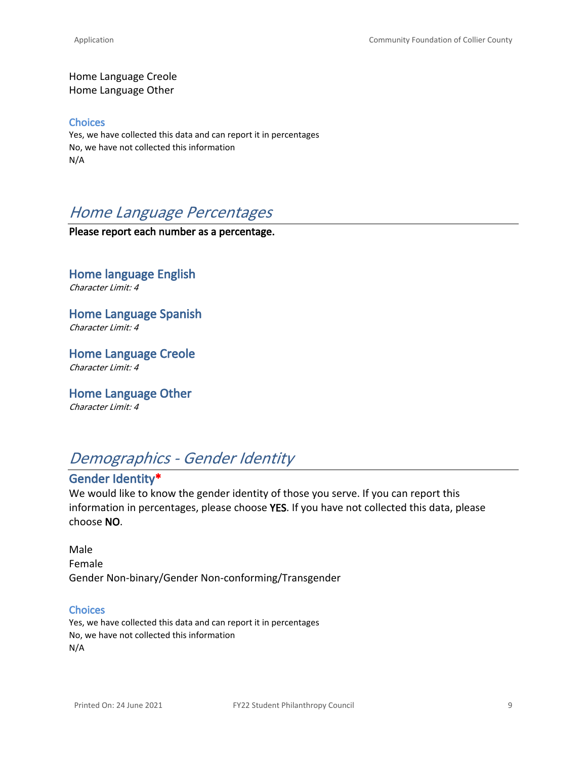Home Language Creole Home Language Other

#### **Choices**

Yes, we have collected this data and can report it in percentages No, we have not collected this information N/A

# *Home Language Percentages*

**Please report each number as a percentage.**

**Home language English** *Character Limit: 4*

**Home Language Spanish** *Character Limit: 4*

**Home Language Creole** *Character Limit: 4*

**Home Language Other** *Character Limit: 4*

# *Demographics - Gender Identity*

# **Gender Identity\***

We would like to know the gender identity of those you serve. If you can report this information in percentages, please choose **YES**. If you have not collected this data, please choose **NO**.

Male Female Gender Non-binary/Gender Non-conforming/Transgender

#### **Choices**

Yes, we have collected this data and can report it in percentages No, we have not collected this information N/A